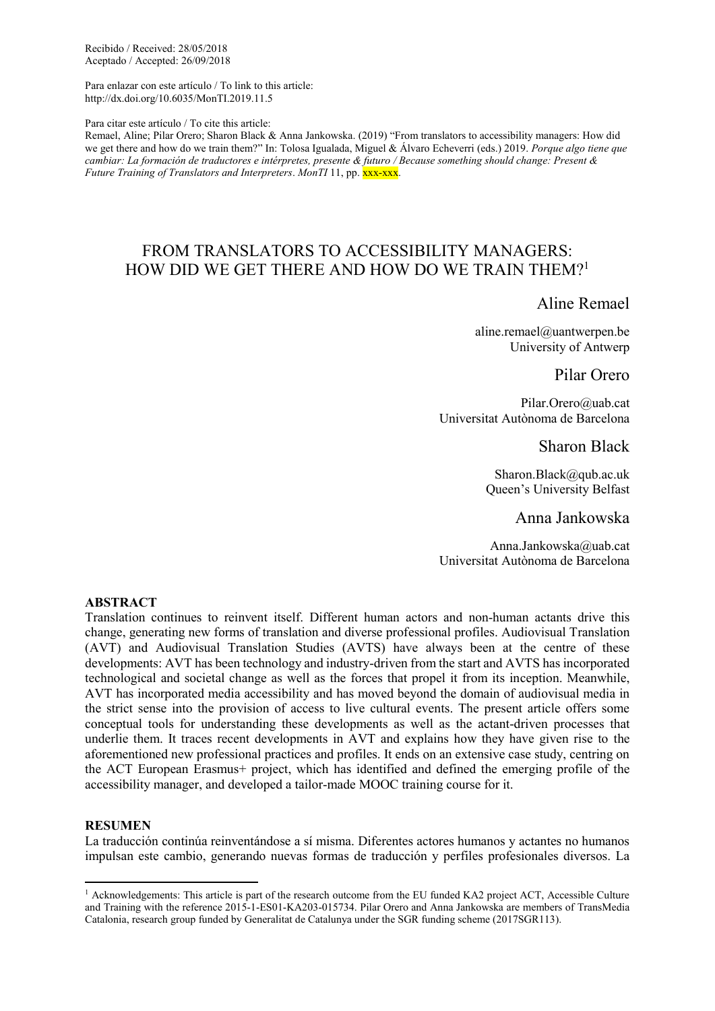Recibido / Received: 28/05/2018 Aceptado / Accepted: 26/09/2018

Para enlazar con este artículo / To link to this article: http://dx.doi.org/10.6035/MonTI.2019.11.5

Para citar este artículo / To cite this article:

Remael, Aline; Pilar Orero; Sharon Black & Anna Jankowska. (2019) "From translators to accessibility managers: How did we get there and how do we train them?" In: Tolosa Igualada, Miguel & Álvaro Echeverri (eds.) 2019. *Porque algo tiene que cambiar: La formación de traductores e intérpretes, presente & futuro / Because something should change: Present & Future Training of Translators and Interpreters. MonTI* 11, pp. XXX-XXX.

# FROM TRANSLATORS TO ACCESSIBILITY MANAGERS: HOW DID WE GET THERE AND HOW DO WE TRAIN THEM?<sup>1</sup>

Aline Remael

aline.remael@uantwerpen.be University of Antwerp

Pilar Orero

Pilar.Orero@uab.cat Universitat Autònoma de Barcelona

Sharon Black

Sharon.Black@qub.ac.uk Queen's University Belfast

Anna Jankowska

Anna.Jankowska@uab.cat Universitat Autònoma de Barcelona

# **ABSTRACT**

Translation continues to reinvent itself. Different human actors and non-human actants drive this change, generating new forms of translation and diverse professional profiles. Audiovisual Translation (AVT) and Audiovisual Translation Studies (AVTS) have always been at the centre of these developments: AVT has been technology and industry-driven from the start and AVTS has incorporated technological and societal change as well as the forces that propel it from its inception. Meanwhile, AVT has incorporated media accessibility and has moved beyond the domain of audiovisual media in the strict sense into the provision of access to live cultural events. The present article offers some conceptual tools for understanding these developments as well as the actant-driven processes that underlie them. It traces recent developments in AVT and explains how they have given rise to the aforementioned new professional practices and profiles. It ends on an extensive case study, centring on the ACT European Erasmus+ project, which has identified and defined the emerging profile of the accessibility manager, and developed a tailor-made MOOC training course for it.

### **RESUMEN**

**.** 

La traducción continúa reinventándose a sí misma. Diferentes actores humanos y actantes no humanos impulsan este cambio, generando nuevas formas de traducción y perfiles profesionales diversos. La

<sup>&</sup>lt;sup>1</sup> Acknowledgements: This article is part of the research outcome from the EU funded KA2 project ACT, Accessible Culture and Training with the reference 2015-1-ES01-KA203-015734. Pilar Orero and Anna Jankowska are members of TransMedia Catalonia, research group funded by Generalitat de Catalunya under the SGR funding scheme (2017SGR113).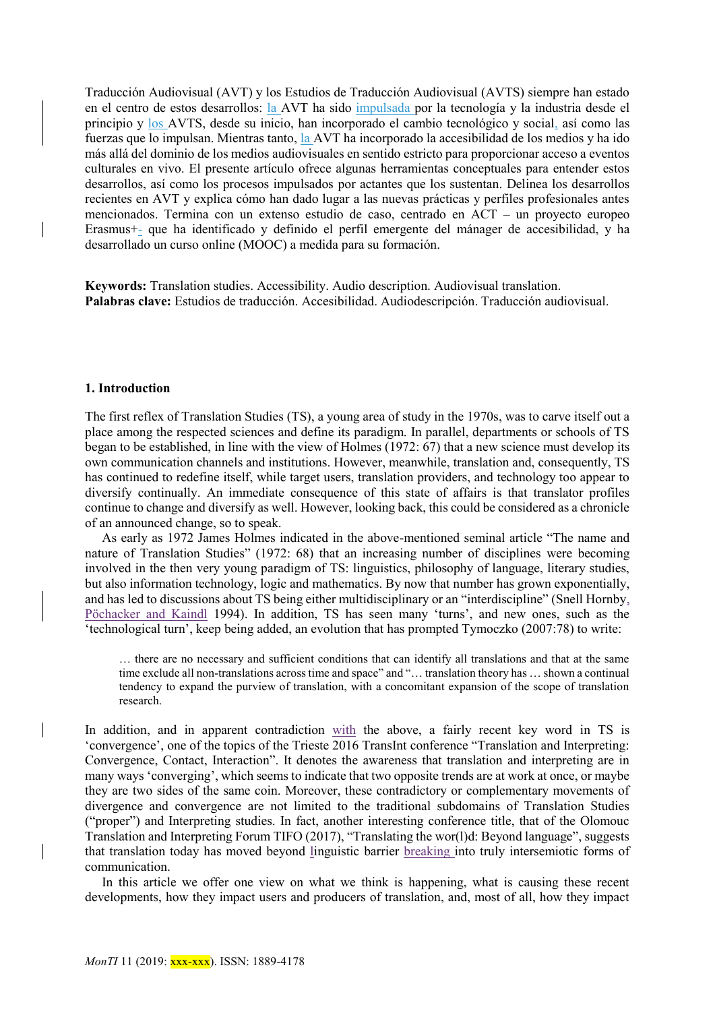Traducción Audiovisual (AVT) y los Estudios de Traducción Audiovisual (AVTS) siempre han estado en el centro de estos desarrollos: la AVT ha sido impulsada por la tecnología y la industria desde el principio y los AVTS, desde su inicio, han incorporado el cambio tecnológico y social, así como las fuerzas que lo impulsan. Mientras tanto, la AVT ha incorporado la accesibilidad de los medios y ha ido más allá del dominio de los medios audiovisuales en sentido estricto para proporcionar acceso a eventos culturales en vivo. El presente artículo ofrece algunas herramientas conceptuales para entender estos desarrollos, así como los procesos impulsados por actantes que los sustentan. Delinea los desarrollos recientes en AVT y explica cómo han dado lugar a las nuevas prácticas y perfiles profesionales antes mencionados. Termina con un extenso estudio de caso, centrado en ACT – un proyecto europeo Erasmus+- que ha identificado y definido el perfil emergente del mánager de accesibilidad, y ha desarrollado un curso online (MOOC) a medida para su formación.

**Keywords:** Translation studies. Accessibility. Audio description. Audiovisual translation. **Palabras clave:** Estudios de traducción. Accesibilidad. Audiodescripción. Traducción audiovisual.

### **1. Introduction**

The first reflex of Translation Studies (TS), a young area of study in the 1970s, was to carve itself out a place among the respected sciences and define its paradigm. In parallel, departments or schools of TS began to be established, in line with the view of Holmes (1972: 67) that a new science must develop its own communication channels and institutions. However, meanwhile, translation and, consequently, TS has continued to redefine itself, while target users, translation providers, and technology too appear to diversify continually. An immediate consequence of this state of affairs is that translator profiles continue to change and diversify as well. However, looking back, this could be considered as a chronicle of an announced change, so to speak.

As early as 1972 James Holmes indicated in the above-mentioned seminal article "The name and nature of Translation Studies" (1972: 68) that an increasing number of disciplines were becoming involved in the then very young paradigm of TS: linguistics, philosophy of language, literary studies, but also information technology, logic and mathematics. By now that number has grown exponentially, and has led to discussions about TS being either multidisciplinary or an "interdiscipline" (Snell Hornby, Pöchacker and Kaindl 1994). In addition, TS has seen many 'turns', and new ones, such as the 'technological turn', keep being added, an evolution that has prompted Tymoczko (2007:78) to write:

… there are no necessary and sufficient conditions that can identify all translations and that at the same time exclude all non-translations across time and space" and "… translation theory has … shown a continual tendency to expand the purview of translation, with a concomitant expansion of the scope of translation research.

In addition, and in apparent contradiction with the above, a fairly recent key word in TS is 'convergence', one of the topics of the Trieste 2016 TransInt conference "Translation and Interpreting: Convergence, Contact, Interaction". It denotes the awareness that translation and interpreting are in many ways 'converging', which seems to indicate that two opposite trends are at work at once, or maybe they are two sides of the same coin. Moreover, these contradictory or complementary movements of divergence and convergence are not limited to the traditional subdomains of Translation Studies ("proper") and Interpreting studies. In fact, another interesting conference title, that of the Olomouc Translation and Interpreting Forum TIFO (2017), "Translating the wor(l)d: Beyond language", suggests that translation today has moved beyond linguistic barrier breaking into truly intersemiotic forms of communication.

In this article we offer one view on what we think is happening, what is causing these recent developments, how they impact users and producers of translation, and, most of all, how they impact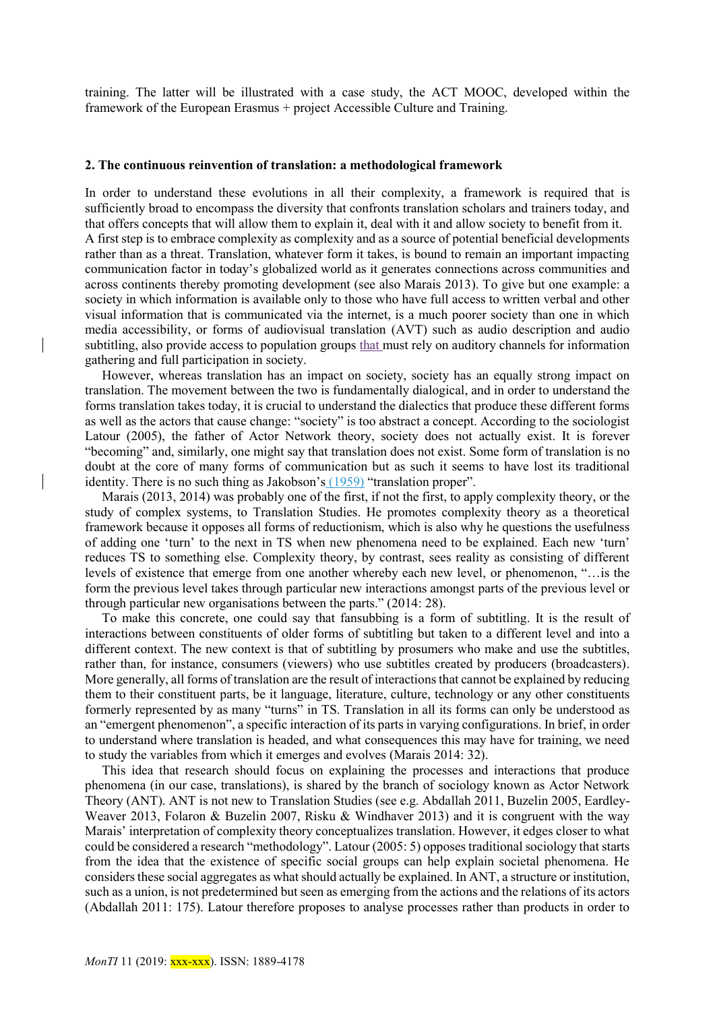training. The latter will be illustrated with a case study, the ACT MOOC, developed within the framework of the European Erasmus + project Accessible Culture and Training.

#### **2. The continuous reinvention of translation: a methodological framework**

In order to understand these evolutions in all their complexity, a framework is required that is sufficiently broad to encompass the diversity that confronts translation scholars and trainers today, and that offers concepts that will allow them to explain it, deal with it and allow society to benefit from it. A first step is to embrace complexity as complexity and as a source of potential beneficial developments rather than as a threat. Translation, whatever form it takes, is bound to remain an important impacting communication factor in today's globalized world as it generates connections across communities and across continents thereby promoting development (see also Marais 2013). To give but one example: a society in which information is available only to those who have full access to written verbal and other visual information that is communicated via the internet, is a much poorer society than one in which media accessibility, or forms of audiovisual translation (AVT) such as audio description and audio subtitling, also provide access to population groups that must rely on auditory channels for information gathering and full participation in society.

However, whereas translation has an impact on society, society has an equally strong impact on translation. The movement between the two is fundamentally dialogical, and in order to understand the forms translation takes today, it is crucial to understand the dialectics that produce these different forms as well as the actors that cause change: "society" is too abstract a concept. According to the sociologist Latour (2005), the father of Actor Network theory, society does not actually exist. It is forever "becoming" and, similarly, one might say that translation does not exist. Some form of translation is no doubt at the core of many forms of communication but as such it seems to have lost its traditional identity. There is no such thing as Jakobson's (1959) "translation proper".

Marais (2013, 2014) was probably one of the first, if not the first, to apply complexity theory, or the study of complex systems, to Translation Studies. He promotes complexity theory as a theoretical framework because it opposes all forms of reductionism, which is also why he questions the usefulness of adding one 'turn' to the next in TS when new phenomena need to be explained. Each new 'turn' reduces TS to something else. Complexity theory, by contrast, sees reality as consisting of different levels of existence that emerge from one another whereby each new level, or phenomenon, "…is the form the previous level takes through particular new interactions amongst parts of the previous level or through particular new organisations between the parts." (2014: 28).

To make this concrete, one could say that fansubbing is a form of subtitling. It is the result of interactions between constituents of older forms of subtitling but taken to a different level and into a different context. The new context is that of subtitling by prosumers who make and use the subtitles, rather than, for instance, consumers (viewers) who use subtitles created by producers (broadcasters). More generally, all forms of translation are the result of interactions that cannot be explained by reducing them to their constituent parts, be it language, literature, culture, technology or any other constituents formerly represented by as many "turns" in TS. Translation in all its forms can only be understood as an "emergent phenomenon", a specific interaction of its parts in varying configurations. In brief, in order to understand where translation is headed, and what consequences this may have for training, we need to study the variables from which it emerges and evolves (Marais 2014: 32).

This idea that research should focus on explaining the processes and interactions that produce phenomena (in our case, translations), is shared by the branch of sociology known as Actor Network Theory (ANT). ANT is not new to Translation Studies (see e.g. Abdallah 2011, Buzelin 2005, Eardley-Weaver 2013, Folaron & Buzelin 2007, Risku & Windhaver 2013) and it is congruent with the way Marais' interpretation of complexity theory conceptualizes translation. However, it edges closer to what could be considered a research "methodology". Latour (2005: 5) opposes traditional sociology that starts from the idea that the existence of specific social groups can help explain societal phenomena. He considers these social aggregates as what should actually be explained. In ANT, a structure or institution, such as a union, is not predetermined but seen as emerging from the actions and the relations of its actors (Abdallah 2011: 175). Latour therefore proposes to analyse processes rather than products in order to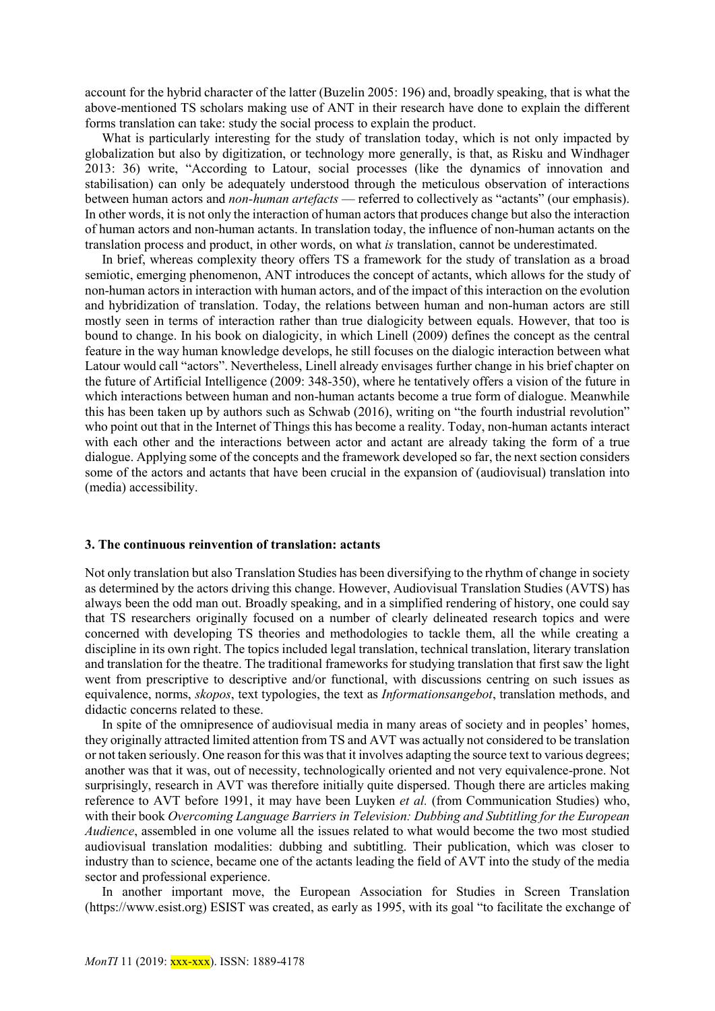account for the hybrid character of the latter (Buzelin 2005: 196) and, broadly speaking, that is what the above-mentioned TS scholars making use of ANT in their research have done to explain the different forms translation can take: study the social process to explain the product.

What is particularly interesting for the study of translation today, which is not only impacted by globalization but also by digitization, or technology more generally, is that, as Risku and Windhager 2013: 36) write, "According to Latour, social processes (like the dynamics of innovation and stabilisation) can only be adequately understood through the meticulous observation of interactions between human actors and *non-human artefacts* — referred to collectively as "actants" (our emphasis). In other words, it is not only the interaction of human actors that produces change but also the interaction of human actors and non-human actants. In translation today, the influence of non-human actants on the translation process and product, in other words, on what *is* translation, cannot be underestimated.

In brief, whereas complexity theory offers TS a framework for the study of translation as a broad semiotic, emerging phenomenon, ANT introduces the concept of actants, which allows for the study of non-human actors in interaction with human actors, and of the impact of this interaction on the evolution and hybridization of translation. Today, the relations between human and non-human actors are still mostly seen in terms of interaction rather than true dialogicity between equals. However, that too is bound to change. In his book on dialogicity, in which Linell (2009) defines the concept as the central feature in the way human knowledge develops, he still focuses on the dialogic interaction between what Latour would call "actors". Nevertheless, Linell already envisages further change in his brief chapter on the future of Artificial Intelligence (2009: 348-350), where he tentatively offers a vision of the future in which interactions between human and non-human actants become a true form of dialogue. Meanwhile this has been taken up by authors such as Schwab (2016), writing on "the fourth industrial revolution" who point out that in the Internet of Things this has become a reality. Today, non-human actants interact with each other and the interactions between actor and actant are already taking the form of a true dialogue. Applying some of the concepts and the framework developed so far, the next section considers some of the actors and actants that have been crucial in the expansion of (audiovisual) translation into (media) accessibility.

## **3. The continuous reinvention of translation: actants**

Not only translation but also Translation Studies has been diversifying to the rhythm of change in society as determined by the actors driving this change. However, Audiovisual Translation Studies (AVTS) has always been the odd man out. Broadly speaking, and in a simplified rendering of history, one could say that TS researchers originally focused on a number of clearly delineated research topics and were concerned with developing TS theories and methodologies to tackle them, all the while creating a discipline in its own right. The topics included legal translation, technical translation, literary translation and translation for the theatre. The traditional frameworks for studying translation that first saw the light went from prescriptive to descriptive and/or functional, with discussions centring on such issues as equivalence, norms, *skopos*, text typologies, the text as *Informationsangebot*, translation methods, and didactic concerns related to these.

In spite of the omnipresence of audiovisual media in many areas of society and in peoples' homes, they originally attracted limited attention from TS and AVT was actually not considered to be translation or not taken seriously. One reason for this was that it involves adapting the source text to various degrees; another was that it was, out of necessity, technologically oriented and not very equivalence-prone. Not surprisingly, research in AVT was therefore initially quite dispersed. Though there are articles making reference to AVT before 1991, it may have been Luyken *et al.* (from Communication Studies) who, with their book *Overcoming Language Barriers in Television: Dubbing and Subtitling for the European Audience*, assembled in one volume all the issues related to what would become the two most studied audiovisual translation modalities: dubbing and subtitling. Their publication, which was closer to industry than to science, became one of the actants leading the field of AVT into the study of the media sector and professional experience.

In another important move, the European Association for Studies in Screen Translation (https://www.esist.org) ESIST was created, as early as 1995, with its goal "to facilitate the exchange of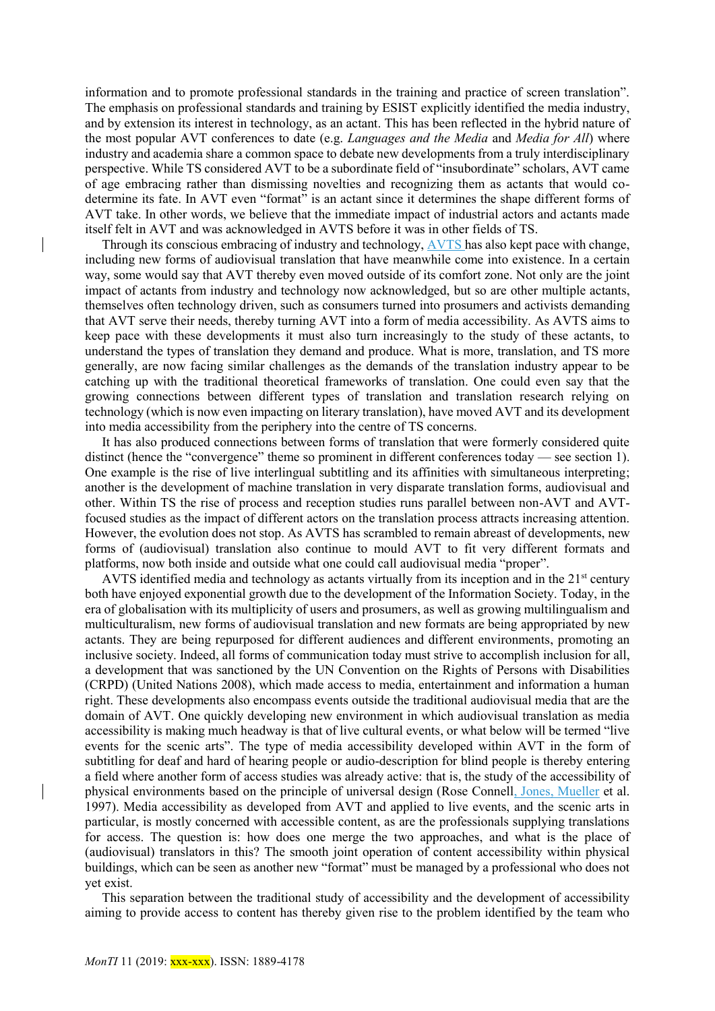information and to promote professional standards in the training and practice of screen translation". The emphasis on professional standards and training by ESIST explicitly identified the media industry, and by extension its interest in technology, as an actant. This has been reflected in the hybrid nature of the most popular AVT conferences to date (e.g. *Languages and the Media* and *Media for All*) where industry and academia share a common space to debate new developments from a truly interdisciplinary perspective. While TS considered AVT to be a subordinate field of "insubordinate" scholars, AVT came of age embracing rather than dismissing novelties and recognizing them as actants that would codetermine its fate. In AVT even "format" is an actant since it determines the shape different forms of AVT take. In other words, we believe that the immediate impact of industrial actors and actants made itself felt in AVT and was acknowledged in AVTS before it was in other fields of TS.

Through its conscious embracing of industry and technology, AVTS has also kept pace with change, including new forms of audiovisual translation that have meanwhile come into existence. In a certain way, some would say that AVT thereby even moved outside of its comfort zone. Not only are the joint impact of actants from industry and technology now acknowledged, but so are other multiple actants, themselves often technology driven, such as consumers turned into prosumers and activists demanding that AVT serve their needs, thereby turning AVT into a form of media accessibility. As AVTS aims to keep pace with these developments it must also turn increasingly to the study of these actants, to understand the types of translation they demand and produce. What is more, translation, and TS more generally, are now facing similar challenges as the demands of the translation industry appear to be catching up with the traditional theoretical frameworks of translation. One could even say that the growing connections between different types of translation and translation research relying on technology (which is now even impacting on literary translation), have moved AVT and its development into media accessibility from the periphery into the centre of TS concerns.

It has also produced connections between forms of translation that were formerly considered quite distinct (hence the "convergence" theme so prominent in different conferences today — see section 1). One example is the rise of live interlingual subtitling and its affinities with simultaneous interpreting; another is the development of machine translation in very disparate translation forms, audiovisual and other. Within TS the rise of process and reception studies runs parallel between non-AVT and AVTfocused studies as the impact of different actors on the translation process attracts increasing attention. However, the evolution does not stop. As AVTS has scrambled to remain abreast of developments, new forms of (audiovisual) translation also continue to mould AVT to fit very different formats and platforms, now both inside and outside what one could call audiovisual media "proper".

AVTS identified media and technology as actants virtually from its inception and in the  $21<sup>st</sup>$  century both have enjoyed exponential growth due to the development of the Information Society. Today, in the era of globalisation with its multiplicity of users and prosumers, as well as growing multilingualism and multiculturalism, new forms of audiovisual translation and new formats are being appropriated by new actants. They are being repurposed for different audiences and different environments, promoting an inclusive society. Indeed, all forms of communication today must strive to accomplish inclusion for all, a development that was sanctioned by the UN Convention on the Rights of Persons with Disabilities (CRPD) (United Nations 2008), which made access to media, entertainment and information a human right. These developments also encompass events outside the traditional audiovisual media that are the domain of AVT. One quickly developing new environment in which audiovisual translation as media accessibility is making much headway is that of live cultural events, or what below will be termed "live events for the scenic arts". The type of media accessibility developed within AVT in the form of subtitling for deaf and hard of hearing people or audio-description for blind people is thereby entering a field where another form of access studies was already active: that is, the study of the accessibility of physical environments based on the principle of universal design (Rose Connell, Jones, Mueller et al. 1997). Media accessibility as developed from AVT and applied to live events, and the scenic arts in particular, is mostly concerned with accessible content, as are the professionals supplying translations for access. The question is: how does one merge the two approaches, and what is the place of (audiovisual) translators in this? The smooth joint operation of content accessibility within physical buildings, which can be seen as another new "format" must be managed by a professional who does not yet exist.

This separation between the traditional study of accessibility and the development of accessibility aiming to provide access to content has thereby given rise to the problem identified by the team who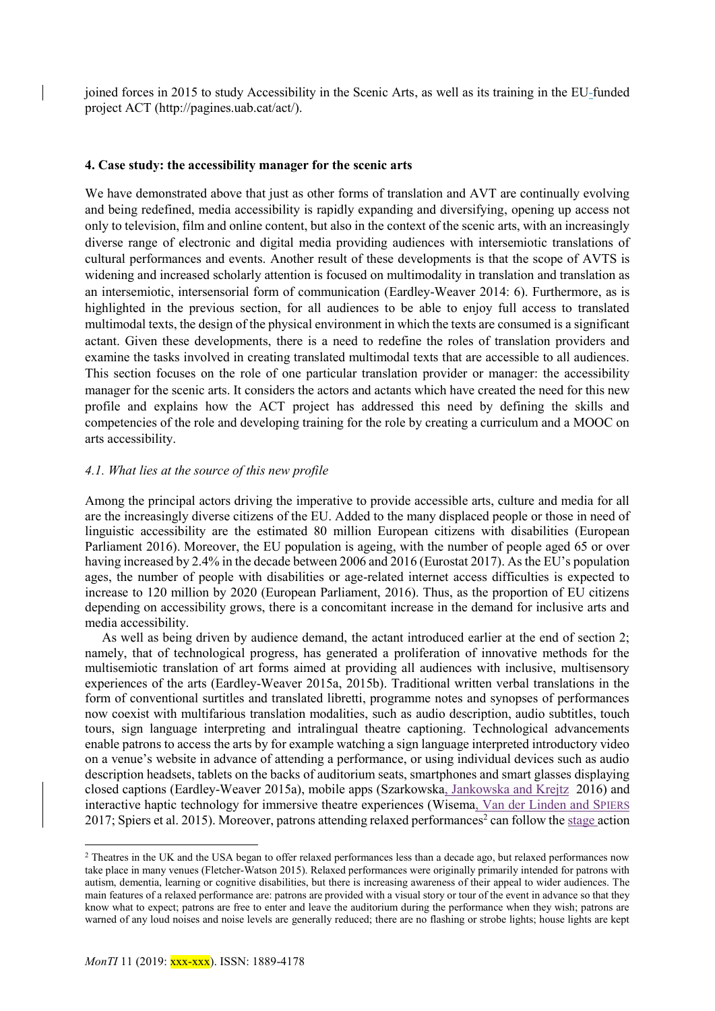joined forces in 2015 to study Accessibility in the Scenic Arts, as well as its training in the EU-funded project ACT (http://pagines.uab.cat/act/).

### **4. Case study: the accessibility manager for the scenic arts**

We have demonstrated above that just as other forms of translation and AVT are continually evolving and being redefined, media accessibility is rapidly expanding and diversifying, opening up access not only to television, film and online content, but also in the context of the scenic arts, with an increasingly diverse range of electronic and digital media providing audiences with intersemiotic translations of cultural performances and events. Another result of these developments is that the scope of AVTS is widening and increased scholarly attention is focused on multimodality in translation and translation as an intersemiotic, intersensorial form of communication (Eardley-Weaver 2014: 6). Furthermore, as is highlighted in the previous section, for all audiences to be able to enjoy full access to translated multimodal texts, the design of the physical environment in which the texts are consumed is a significant actant. Given these developments, there is a need to redefine the roles of translation providers and examine the tasks involved in creating translated multimodal texts that are accessible to all audiences. This section focuses on the role of one particular translation provider or manager: the accessibility manager for the scenic arts. It considers the actors and actants which have created the need for this new profile and explains how the ACT project has addressed this need by defining the skills and competencies of the role and developing training for the role by creating a curriculum and a MOOC on arts accessibility.

# *4.1. What lies at the source of this new profile*

Among the principal actors driving the imperative to provide accessible arts, culture and media for all are the increasingly diverse citizens of the EU. Added to the many displaced people or those in need of linguistic accessibility are the estimated 80 million European citizens with disabilities (European Parliament 2016). Moreover, the EU population is ageing, with the number of people aged 65 or over having increased by 2.4% in the decade between 2006 and 2016 (Eurostat 2017). As the EU's population ages, the number of people with disabilities or age-related internet access difficulties is expected to increase to 120 million by 2020 (European Parliament, 2016). Thus, as the proportion of EU citizens depending on accessibility grows, there is a concomitant increase in the demand for inclusive arts and media accessibility.

As well as being driven by audience demand, the actant introduced earlier at the end of section 2; namely, that of technological progress, has generated a proliferation of innovative methods for the multisemiotic translation of art forms aimed at providing all audiences with inclusive, multisensory experiences of the arts (Eardley-Weaver 2015a, 2015b). Traditional written verbal translations in the form of conventional surtitles and translated libretti, programme notes and synopses of performances now coexist with multifarious translation modalities, such as audio description, audio subtitles, touch tours, sign language interpreting and intralingual theatre captioning. Technological advancements enable patrons to access the arts by for example watching a sign language interpreted introductory video on a venue's website in advance of attending a performance, or using individual devices such as audio description headsets, tablets on the backs of auditorium seats, smartphones and smart glasses displaying closed captions (Eardley-Weaver 2015a), mobile apps (Szarkowska, Jankowska and Krejtz 2016) and interactive haptic technology for immersive theatre experiences (Wisema, Van der Linden and SPIERS 2017; Spiers et al. 2015). Moreover, patrons attending relaxed performances<sup>2</sup> can follow the stage action

**.** 

<sup>&</sup>lt;sup>2</sup> Theatres in the UK and the USA began to offer relaxed performances less than a decade ago, but relaxed performances now take place in many venues (Fletcher-Watson 2015). Relaxed performances were originally primarily intended for patrons with autism, dementia, learning or cognitive disabilities, but there is increasing awareness of their appeal to wider audiences. The main features of a relaxed performance are: patrons are provided with a visual story or tour of the event in advance so that they know what to expect; patrons are free to enter and leave the auditorium during the performance when they wish; patrons are warned of any loud noises and noise levels are generally reduced; there are no flashing or strobe lights; house lights are kept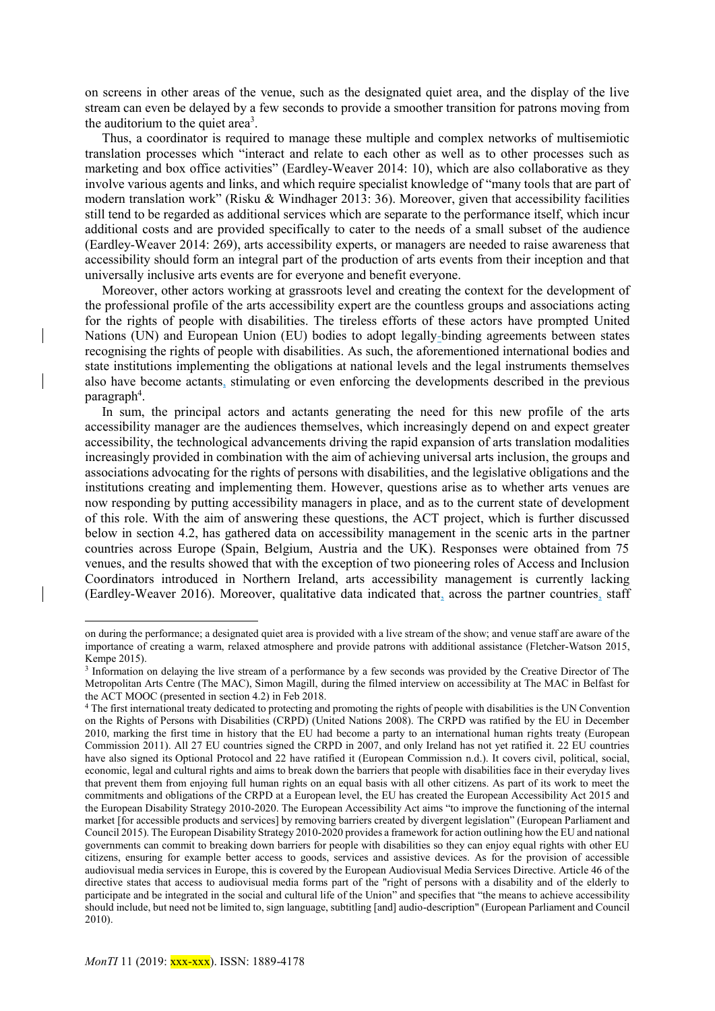on screens in other areas of the venue, such as the designated quiet area, and the display of the live stream can even be delayed by a few seconds to provide a smoother transition for patrons moving from the auditorium to the quiet area<sup>3</sup>.

Thus, a coordinator is required to manage these multiple and complex networks of multisemiotic translation processes which "interact and relate to each other as well as to other processes such as marketing and box office activities" (Eardley-Weaver 2014: 10), which are also collaborative as they involve various agents and links, and which require specialist knowledge of "many tools that are part of modern translation work" (Risku & Windhager 2013: 36). Moreover, given that accessibility facilities still tend to be regarded as additional services which are separate to the performance itself, which incur additional costs and are provided specifically to cater to the needs of a small subset of the audience (Eardley-Weaver 2014: 269), arts accessibility experts, or managers are needed to raise awareness that accessibility should form an integral part of the production of arts events from their inception and that universally inclusive arts events are for everyone and benefit everyone.

Moreover, other actors working at grassroots level and creating the context for the development of the professional profile of the arts accessibility expert are the countless groups and associations acting for the rights of people with disabilities. The tireless efforts of these actors have prompted United Nations (UN) and European Union (EU) bodies to adopt legally-binding agreements between states recognising the rights of people with disabilities. As such, the aforementioned international bodies and state institutions implementing the obligations at national levels and the legal instruments themselves also have become actants, stimulating or even enforcing the developments described in the previous paragraph<sup>4</sup>.

In sum, the principal actors and actants generating the need for this new profile of the arts accessibility manager are the audiences themselves, which increasingly depend on and expect greater accessibility, the technological advancements driving the rapid expansion of arts translation modalities increasingly provided in combination with the aim of achieving universal arts inclusion, the groups and associations advocating for the rights of persons with disabilities, and the legislative obligations and the institutions creating and implementing them. However, questions arise as to whether arts venues are now responding by putting accessibility managers in place, and as to the current state of development of this role. With the aim of answering these questions, the ACT project, which is further discussed below in section 4.2, has gathered data on accessibility management in the scenic arts in the partner countries across Europe (Spain, Belgium, Austria and the UK). Responses were obtained from 75 venues, and the results showed that with the exception of two pioneering roles of Access and Inclusion Coordinators introduced in Northern Ireland, arts accessibility management is currently lacking (Eardley-Weaver 2016). Moreover, qualitative data indicated that, across the partner countries, staff

1

on during the performance; a designated quiet area is provided with a live stream of the show; and venue staff are aware of the importance of creating a warm, relaxed atmosphere and provide patrons with additional assistance (Fletcher-Watson 2015, Kempe 2015).

<sup>3</sup> Information on delaying the live stream of a performance by a few seconds was provided by the Creative Director of The Metropolitan Arts Centre (The MAC), Simon Magill, during the filmed interview on accessibility at The MAC in Belfast for the ACT MOOC (presented in section 4.2) in Feb 2018.

<sup>4</sup> The first international treaty dedicated to protecting and promoting the rights of people with disabilities is the UN Convention on the Rights of Persons with Disabilities (CRPD) (United Nations 2008). The CRPD was ratified by the EU in December 2010, marking the first time in history that the EU had become a party to an international human rights treaty (European Commission 2011). All 27 EU countries signed the CRPD in 2007, and only Ireland has not yet ratified it. 22 EU countries have also signed its [Optional Protocol](http://www.un.org/disabilities/documents/convention/convoptprot-e.pdf) and 22 have ratified it (European Commission n.d.). It covers civil, political, social, economic, legal and cultural rights and aims to break down the barriers that people with disabilities face in their everyday lives that prevent them from enjoying full human rights on an equal basis with all other citizens. As part of its work to meet the commitments and obligations of the CRPD at a European level, the EU has created the European Accessibility Act 2015 and the European Disability Strategy 2010-2020. Th[e European Accessibility Act](http://eur-lex.europa.eu/legal-content/EN/TXT/?uri=COM:2015:0615:FIN) aims "to improve the functioning of the internal market [for accessible products and services] by removing barriers created by divergent legislation" (European Parliament and Council 2015). The European Disability Strategy 2010-2020 provides a framework for action outlining how the EU and national governments can commit to breaking down barriers for people with disabilities so they can enjoy equal rights with other EU citizens, ensuring for example better access to goods, services and assistive devices. As for the provision of accessible audiovisual media services in Europe, this is covered by the European Audiovisual Media Services Directive. Article 46 of the directive states that access to audiovisual media forms part of the "right of persons with a disability and of the elderly to participate and be integrated in the social and cultural life of the Union" and specifies that "the means to achieve accessibility should include, but need not be limited to, sign language, subtitling [and] audio-description" (European Parliament and Council 2010).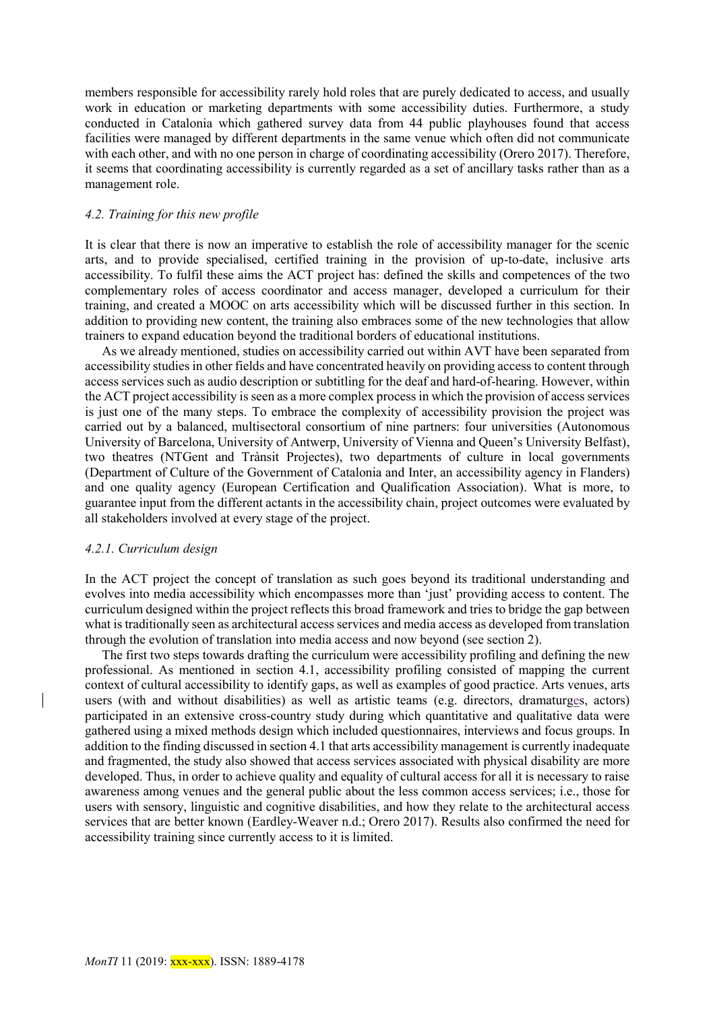members responsible for accessibility rarely hold roles that are purely dedicated to access, and usually work in education or marketing departments with some accessibility duties. Furthermore, a study conducted in Catalonia which gathered survey data from 44 public playhouses found that access facilities were managed by different departments in the same venue which often did not communicate with each other, and with no one person in charge of coordinating accessibility (Orero 2017). Therefore, it seems that coordinating accessibility is currently regarded as a set of ancillary tasks rather than as a management role.

#### *4.2. Training for this new profile*

It is clear that there is now an imperative to establish the role of accessibility manager for the scenic arts, and to provide specialised, certified training in the provision of up-to-date, inclusive arts accessibility. To fulfil these aims the ACT project has: defined the skills and competences of the two complementary roles of access coordinator and access manager, developed a curriculum for their training, and created a MOOC on arts accessibility which will be discussed further in this section. In addition to providing new content, the training also embraces some of the new technologies that allow trainers to expand education beyond the traditional borders of educational institutions.

As we already mentioned, studies on accessibility carried out within AVT have been separated from accessibility studies in other fields and have concentrated heavily on providing access to content through access services such as audio description or subtitling for the deaf and hard-of-hearing. However, within the ACT project accessibility is seen as a more complex process in which the provision of access services is just one of the many steps. To embrace the complexity of accessibility provision the project was carried out by a balanced, multisectoral consortium of nine partners: four universities (Autonomous University of Barcelona, University of Antwerp, University of Vienna and Queen's University Belfast), two theatres (NTGent and Trànsit Projectes), two departments of culture in local governments (Department of Culture of the Government of Catalonia and Inter, an accessibility agency in Flanders) and one quality agency (European Certification and Qualification Association). What is more, to guarantee input from the different actants in the accessibility chain, project outcomes were evaluated by all stakeholders involved at every stage of the project.

#### *4.2.1. Curriculum design*

In the ACT project the concept of translation as such goes beyond its traditional understanding and evolves into media accessibility which encompasses more than 'just' providing access to content. The curriculum designed within the project reflects this broad framework and tries to bridge the gap between what is traditionally seen as architectural access services and media access as developed from translation through the evolution of translation into media access and now beyond (see section 2).

The first two steps towards drafting the curriculum were accessibility profiling and defining the new professional. As mentioned in section 4.1, accessibility profiling consisted of mapping the current context of cultural accessibility to identify gaps, as well as examples of good practice. Arts venues, arts users (with and without disabilities) as well as artistic teams (e.g. directors, dramaturges, actors) participated in an extensive cross-country study during which quantitative and qualitative data were gathered using a mixed methods design which included questionnaires, interviews and focus groups. In addition to the finding discussed in section 4.1 that arts accessibility management is currently inadequate and fragmented, the study also showed that access services associated with physical disability are more developed. Thus, in order to achieve quality and equality of cultural access for all it is necessary to raise awareness among venues and the general public about the less common access services; i.e., those for users with sensory, linguistic and cognitive disabilities, and how they relate to the architectural access services that are better known (Eardley-Weaver n.d.; Orero 2017). Results also confirmed the need for accessibility training since currently access to it is limited.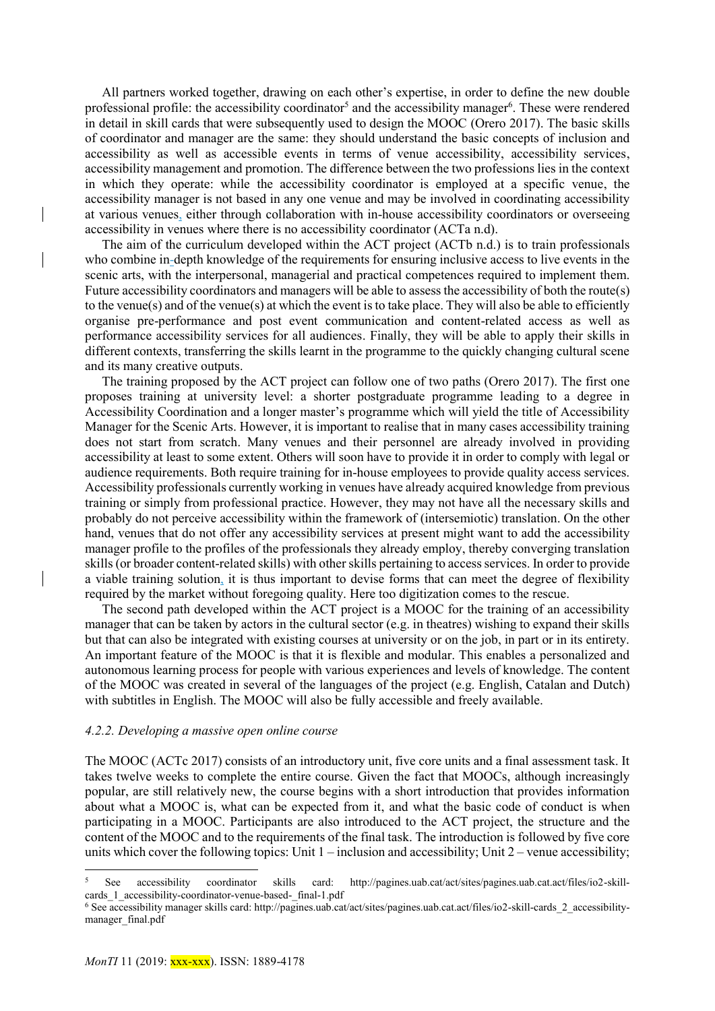All partners worked together, drawing on each other's expertise, in order to define the new double professional profile: the accessibility coordinator<sup>5</sup> and the accessibility manager<sup>6</sup>. These were rendered in detail in skill cards that were subsequently used to design the MOOC (Orero 2017). The basic skills of coordinator and manager are the same: they should understand the basic concepts of inclusion and accessibility as well as accessible events in terms of venue accessibility, accessibility services, accessibility management and promotion. The difference between the two professions lies in the context in which they operate: while the accessibility coordinator is employed at a specific venue, the accessibility manager is not based in any one venue and may be involved in coordinating accessibility at various venues, either through collaboration with in-house accessibility coordinators or overseeing accessibility in venues where there is no accessibility coordinator (ACTa n.d).

The aim of the curriculum developed within the ACT project (ACTb n.d.) is to train professionals who combine in-depth knowledge of the requirements for ensuring inclusive access to live events in the scenic arts, with the interpersonal, managerial and practical competences required to implement them. Future accessibility coordinators and managers will be able to assess the accessibility of both the route(s) to the venue(s) and of the venue(s) at which the event is to take place. They will also be able to efficiently organise pre-performance and post event communication and content-related access as well as performance accessibility services for all audiences. Finally, they will be able to apply their skills in different contexts, transferring the skills learnt in the programme to the quickly changing cultural scene and its many creative outputs.

The training proposed by the ACT project can follow one of two paths (Orero 2017). The first one proposes training at university level: a shorter postgraduate programme leading to a degree in Accessibility Coordination and a longer master's programme which will yield the title of Accessibility Manager for the Scenic Arts. However, it is important to realise that in many cases accessibility training does not start from scratch. Many venues and their personnel are already involved in providing accessibility at least to some extent. Others will soon have to provide it in order to comply with legal or audience requirements. Both require training for in-house employees to provide quality access services. Accessibility professionals currently working in venues have already acquired knowledge from previous training or simply from professional practice. However, they may not have all the necessary skills and probably do not perceive accessibility within the framework of (intersemiotic) translation. On the other hand, venues that do not offer any accessibility services at present might want to add the accessibility manager profile to the profiles of the professionals they already employ, thereby converging translation skills (or broader content-related skills) with otherskills pertaining to access services. In order to provide a viable training solution, it is thus important to devise forms that can meet the degree of flexibility required by the market without foregoing quality. Here too digitization comes to the rescue.

The second path developed within the ACT project is a MOOC for the training of an accessibility manager that can be taken by actors in the cultural sector (e.g. in theatres) wishing to expand their skills but that can also be integrated with existing courses at university or on the job, in part or in its entirety. An important feature of the MOOC is that it is flexible and modular. This enables a personalized and autonomous learning process for people with various experiences and levels of knowledge. The content of the MOOC was created in several of the languages of the project (e.g. English, Catalan and Dutch) with subtitles in English. The MOOC will also be fully accessible and freely available.

#### *4.2.2. Developing a massive open online course*

The MOOC (ACTc 2017) consists of an introductory unit, five core units and a final assessment task. It takes twelve weeks to complete the entire course. Given the fact that MOOCs, although increasingly popular, are still relatively new, the course begins with a short introduction that provides information about what a MOOC is, what can be expected from it, and what the basic code of conduct is when participating in a MOOC. Participants are also introduced to the ACT project, the structure and the content of the MOOC and to the requirements of the final task. The introduction is followed by five core units which cover the following topics: Unit  $1$  – inclusion and accessibility; Unit  $2$  – venue accessibility;

1

<sup>5</sup> See accessibility coordinator skills card: http://pagines.uab.cat/act/sites/pagines.uab.cat.act/files/io2-skillcards 1 accessibility-coordinator-venue-based- final-1.pdf

<sup>6</sup> See accessibility manager skills card: http://pagines.uab.cat/act/sites/pagines.uab.cat.act/files/io2-skill-cards\_2\_accessibilitymanager\_final.pdf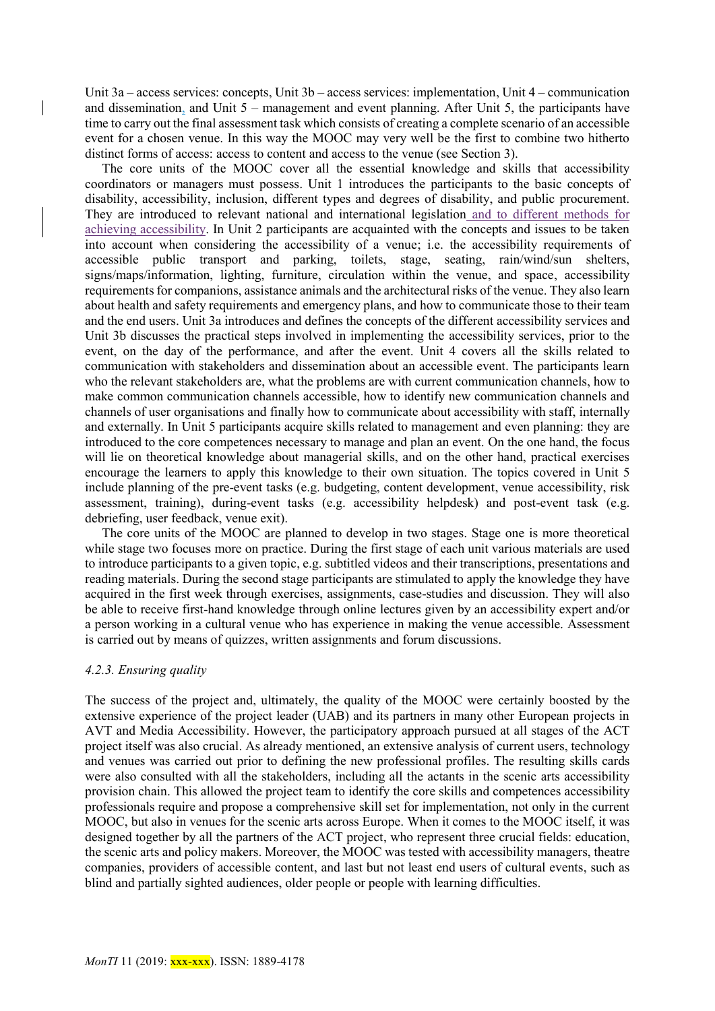Unit 3a – access services: concepts, Unit 3b – access services: implementation, Unit 4 – communication and dissemination, and Unit 5 – management and event planning. After Unit 5, the participants have time to carry out the final assessment task which consists of creating a complete scenario of an accessible event for a chosen venue. In this way the MOOC may very well be the first to combine two hitherto distinct forms of access: access to content and access to the venue (see Section 3).

The core units of the MOOC cover all the essential knowledge and skills that accessibility coordinators or managers must possess. Unit 1 introduces the participants to the basic concepts of disability, accessibility, inclusion, different types and degrees of disability, and public procurement. They are introduced to relevant national and international legislation and to different methods for achieving accessibility. In Unit 2 participants are acquainted with the concepts and issues to be taken into account when considering the accessibility of a venue; i.e. the accessibility requirements of accessible public transport and parking, toilets, stage, seating, rain/wind/sun shelters, signs/maps/information, lighting, furniture, circulation within the venue, and space, accessibility requirements for companions, assistance animals and the architectural risks of the venue. They also learn about health and safety requirements and emergency plans, and how to communicate those to their team and the end users. Unit 3a introduces and defines the concepts of the different accessibility services and Unit 3b discusses the practical steps involved in implementing the accessibility services, prior to the event, on the day of the performance, and after the event. Unit 4 covers all the skills related to communication with stakeholders and dissemination about an accessible event. The participants learn who the relevant stakeholders are, what the problems are with current communication channels, how to make common communication channels accessible, how to identify new communication channels and channels of user organisations and finally how to communicate about accessibility with staff, internally and externally. In Unit 5 participants acquire skills related to management and even planning: they are introduced to the core competences necessary to manage and plan an event. On the one hand, the focus will lie on theoretical knowledge about managerial skills, and on the other hand, practical exercises encourage the learners to apply this knowledge to their own situation. The topics covered in Unit 5 include planning of the pre-event tasks (e.g. budgeting, content development, venue accessibility, risk assessment, training), during-event tasks (e.g. accessibility helpdesk) and post-event task (e.g. debriefing, user feedback, venue exit).

The core units of the MOOC are planned to develop in two stages. Stage one is more theoretical while stage two focuses more on practice. During the first stage of each unit various materials are used to introduce participants to a given topic, e.g. subtitled videos and their transcriptions, presentations and reading materials. During the second stage participants are stimulated to apply the knowledge they have acquired in the first week through exercises, assignments, case-studies and discussion. They will also be able to receive first-hand knowledge through online lectures given by an accessibility expert and/or a person working in a cultural venue who has experience in making the venue accessible. Assessment is carried out by means of quizzes, written assignments and forum discussions.

### *4.2.3. Ensuring quality*

The success of the project and, ultimately, the quality of the MOOC were certainly boosted by the extensive experience of the project leader (UAB) and its partners in many other European projects in AVT and Media Accessibility. However, the participatory approach pursued at all stages of the ACT project itself was also crucial. As already mentioned, an extensive analysis of current users, technology and venues was carried out prior to defining the new professional profiles. The resulting skills cards were also consulted with all the stakeholders, including all the actants in the scenic arts accessibility provision chain. This allowed the project team to identify the core skills and competences accessibility professionals require and propose a comprehensive skill set for implementation, not only in the current MOOC, but also in venues for the scenic arts across Europe. When it comes to the MOOC itself, it was designed together by all the partners of the ACT project, who represent three crucial fields: education, the scenic arts and policy makers. Moreover, the MOOC was tested with accessibility managers, theatre companies, providers of accessible content, and last but not least end users of cultural events, such as blind and partially sighted audiences, older people or people with learning difficulties.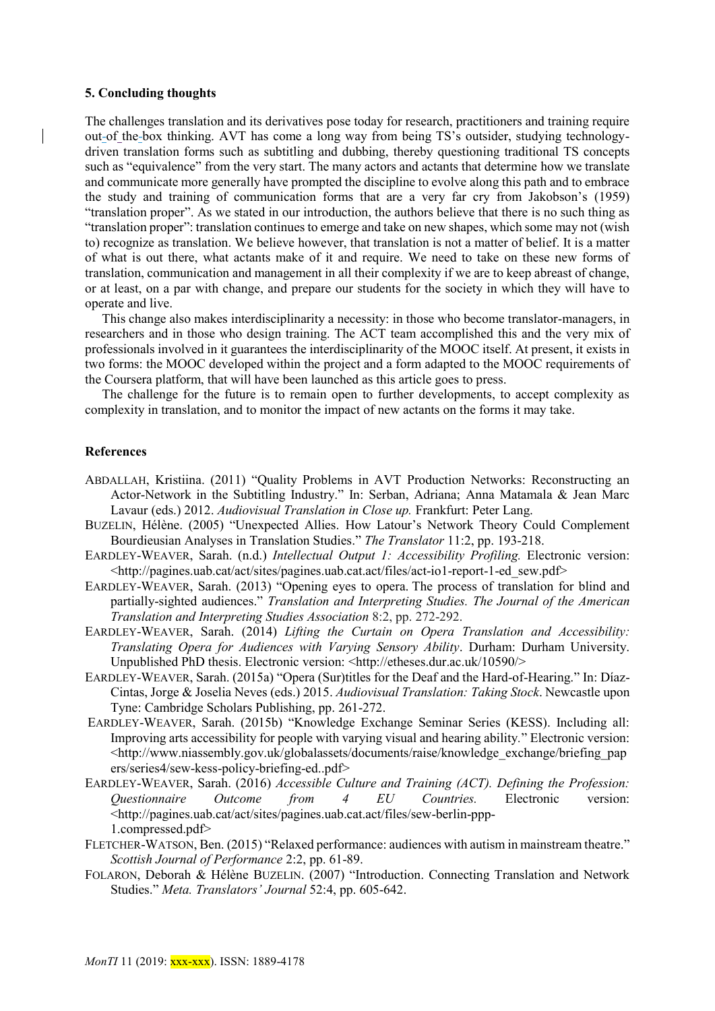### **5. Concluding thoughts**

The challenges translation and its derivatives pose today for research, practitioners and training require out-of the-box thinking. AVT has come a long way from being TS's outsider, studying technologydriven translation forms such as subtitling and dubbing, thereby questioning traditional TS concepts such as "equivalence" from the very start. The many actors and actants that determine how we translate and communicate more generally have prompted the discipline to evolve along this path and to embrace the study and training of communication forms that are a very far cry from Jakobson's (1959) "translation proper". As we stated in our introduction, the authors believe that there is no such thing as "translation proper": translation continues to emerge and take on new shapes, which some may not (wish to) recognize as translation. We believe however, that translation is not a matter of belief. It is a matter of what is out there, what actants make of it and require. We need to take on these new forms of translation, communication and management in all their complexity if we are to keep abreast of change, or at least, on a par with change, and prepare our students for the society in which they will have to operate and live.

This change also makes interdisciplinarity a necessity: in those who become translator-managers, in researchers and in those who design training. The ACT team accomplished this and the very mix of professionals involved in it guarantees the interdisciplinarity of the MOOC itself. At present, it exists in two forms: the MOOC developed within the project and a form adapted to the MOOC requirements of the Coursera platform, that will have been launched as this article goes to press.

The challenge for the future is to remain open to further developments, to accept complexity as complexity in translation, and to monitor the impact of new actants on the forms it may take.

# **References**

- ABDALLAH, Kristiina. (2011) "Quality Problems in AVT Production Networks: Reconstructing an Actor-Network in the Subtitling Industry." In: Serban, Adriana; Anna Matamala & Jean Marc Lavaur (eds.) 2012. *Audiovisual Translation in Close up.* Frankfurt: Peter Lang.
- BUZELIN, Hélène. (2005) "Unexpected Allies. How Latour's Network Theory Could Complement Bourdieusian Analyses in Translation Studies." *The Translator* 11:2, pp. 193-218.
- EARDLEY-WEAVER, Sarah. (n.d.) *Intellectual Output 1: Accessibility Profiling.* Electronic version: <http://pagines.uab.cat/act/sites/pagines.uab.cat.act/files/act-io1-report-1-ed\_sew.pdf>
- EARDLEY-WEAVER, Sarah. (2013) "Opening eyes to opera. The process of translation for blind and partially-sighted audiences." *Translation and Interpreting Studies. The Journal of the American Translation and Interpreting Studies Association* 8:2, pp. 272-292.
- EARDLEY-WEAVER, Sarah. (2014) *Lifting the Curtain on Opera Translation and Accessibility: Translating Opera for Audiences with Varying Sensory Ability*. Durham: Durham University. Unpublished PhD thesis. Electronic version: [<http://etheses.dur.ac.uk/10590/>](file:///C:/Users/AnJa/Documents/Dell2018/Download/%20%3c)
- EARDLEY-WEAVER, Sarah. (2015a) "Opera (Sur)titles for the Deaf and the Hard-of-Hearing." In: Díaz-Cintas, Jorge & Joselia Neves (eds.) 2015. *Audiovisual Translation: Taking Stock*. Newcastle upon Tyne: Cambridge Scholars Publishing, pp. 261-272[.](http://etheses.dur.ac.uk/10590/)
- EARDLEY-WEAVER, Sarah. (2015b) "Knowledge Exchange Seminar Series (KESS). Including all: Improving arts accessibility for people with varying visual and hearing ability*.*" Electronic version: [<http://www.niassembly.gov.uk/globalassets/documents/raise/knowledge\\_exchange/briefing\\_pap](http://www.niassembly.gov.uk/globalassets/documents/raise/knowledge_exchange/briefing_papers/series4/sew-kess-policy-briefing-ed..pdf) [ers/series4/sew-kess-policy-briefing-ed..pdf>](http://www.niassembly.gov.uk/globalassets/documents/raise/knowledge_exchange/briefing_papers/series4/sew-kess-policy-briefing-ed..pdf)
- EARDLEY-WEAVER, Sarah. (2016) *Accessible Culture and Training (ACT). Defining the Profession: Questionnaire Outcome from 4 EU Countries.* Electronic version: [<http://pagines.uab.cat/act/sites/pagines.uab.cat.act/files/sew-berlin-ppp-](http://pagines.uab.cat/act/sites/pagines.uab.cat.act/files/sew-berlin-ppp-)1.compressed.pdf>
- FLETCHER-WATSON, Ben. (2015) "Relaxed performance: audiences with autism in mainstream theatre." *Scottish Journal of Performance* 2:2, pp. 61-89.
- FOLARON, Deborah & Hélène BUZELIN. (2007) "Introduction. Connecting Translation and Network Studies." *Meta. Translators' Journal* 52:4, pp. 605-642.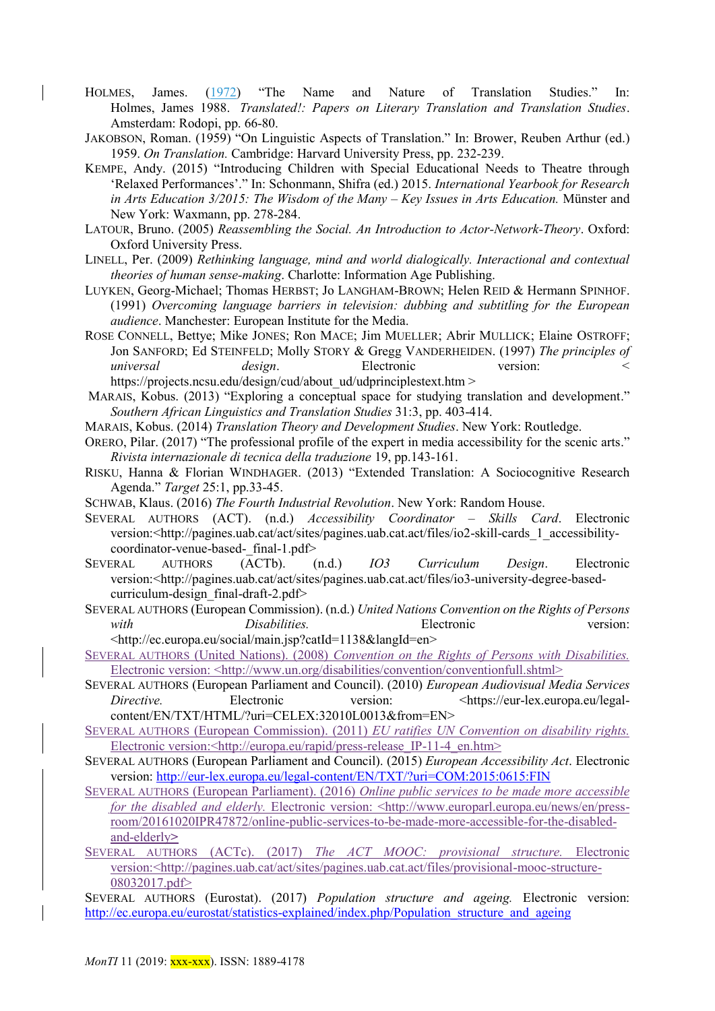- HOLMES, James. (1972) "The Name and Nature of Translation Studies." In: Holmes, James 1988. *Translated!: Papers on Literary Translation and Translation Studies*. Amsterdam: Rodopi, pp. 66-80.
- JAKOBSON, Roman. (1959) "On Linguistic Aspects of Translation." In: Brower, Reuben Arthur (ed.) 1959. *On Translation.* Cambridge: Harvard University Press, pp. 232-239.
- KEMPE, Andy. (2015) "Introducing Children with Special Educational Needs to Theatre through 'Relaxed Performances'." In: Schonmann, Shifra (ed.) 2015. *International Yearbook for Research in Arts Education 3/2015: The Wisdom of the Many – Key Issues in Arts Education.* Münster and New York: Waxmann, pp. 278-284.
- LATOUR, Bruno. (2005) *Reassembling the Social. An Introduction to Actor-Network-Theory*. Oxford: Oxford University Press.
- LINELL, Per. (2009) *Rethinking language, mind and world dialogically. Interactional and contextual theories of human sense-making*. Charlotte: Information Age Publishing.
- LUYKEN, Georg-Michael; Thomas HERBST; Jo LANGHAM-BROWN; Helen REID & Hermann SPINHOF. (1991) *Overcoming language barriers in television: dubbing and subtitling for the European audience*. Manchester: European Institute for the Media.
- ROSE CONNELL, Bettye; Mike JONES; Ron MACE; Jim MUELLER; Abrir MULLICK; Elaine OSTROFF; Jon SANFORD; Ed STEINFELD; Molly STORY & Gregg VANDERHEIDEN. (1997) *The principles of universal design*. Electronic version: < https://projects.ncsu.edu/design/cud/about\_ud/udprinciplestext.htm >
- MARAIS, Kobus. (2013) "Exploring a conceptual space for studying translation and development." *Southern African Linguistics and Translation Studies* 31:3, pp. 403-414.
- MARAIS, Kobus. (2014) *Translation Theory and Development Studies*. New York: Routledge.
- ORERO, Pilar. (2017) "The professional profile of the expert in media accessibility for the scenic arts." *Rivista internazionale di tecnica della traduzione* 19, pp.143-161.
- RISKU, Hanna & Florian WINDHAGER. (2013) "Extended Translation: A Sociocognitive Research Agenda." *Target* 25:1, pp.33-45.
- SCHWAB, Klaus. (2016) *The Fourth Industrial Revolution*. New York: Random House.
- SEVERAL AUTHORS (ACT). (n.d.) *Accessibility Coordinator – Skills Card*. Electronic version:<http://pagines.uab.cat/act/sites/pagines.uab.cat.act/files/io2-skill-cards 1 accessibilitycoordinator-venue-based-\_final-1.pdf>
- SEVERAL AUTHORS (ACTb). (n.d.) *IO3 Curriculum Design*. Electronic version:<http://pagines.uab.cat/act/sites/pagines.uab.cat.act/files/io3-university-degree-basedcurriculum-design\_final-draft-2.pdf>
- SEVERAL AUTHORS (European Commission). (n.d.) *United Nations Convention on the Rights of Persons with Disabilities.* Electronic version: <http://ec.europa.eu/social/main.jsp?catId=1138&langId=en>
- SEVERAL AUTHORS (United Nations). (2008) *Convention on the Rights of Persons with Disabilities.*  Electronic version: <http://www.un.org/disabilities/convention/conventionfull.shtml>
- SEVERAL AUTHORS (European Parliament and Council). (2010) *European Audiovisual Media Services Directive.* Electronic version:  $\langle \text{https://eur-lex.europa.eu/legal-} \rangle$ content/EN/TXT/HTML/?uri=CELEX:32010L0013&from=EN>
- SEVERAL AUTHORS (European Commission). (2011) *EU ratifies UN Convention on disability rights.* Electronic version:<http://europa.eu/rapid/press-release\_IP-11-4\_en.htm>
- SEVERAL AUTHORS (European Parliament and Council). (2015) *European Accessibility Act*. Electronic version:<http://eur-lex.europa.eu/legal-content/EN/TXT/?uri=COM:2015:0615:FIN>
- SEVERAL AUTHORS (European Parliament). (2016) *Online public services to be made more accessible for the disabled and elderly.* Electronic version: <http://www.europarl.europa.eu/news/en/pressroom/20161020IPR47872/online-public-services-to-be-made-more-accessible-for-the-disabledand-elderly**>**
- SEVERAL AUTHORS (ACTc). (2017) *The ACT MOOC: provisional structure.* Electronic version:<http://pagines.uab.cat/act/sites/pagines.uab.cat.act/files/provisional-mooc-structure-08032017.pdf>
- SEVERAL AUTHORS (Eurostat). (2017) *Population structure and ageing.* Electronic version: [http://ec.europa.eu/eurostat/statistics-explained/index.php/Population\\_structure\\_and\\_ageing](http://ec.europa.eu/eurostat/statistics-explained/index.php/Population_structure_and_ageing)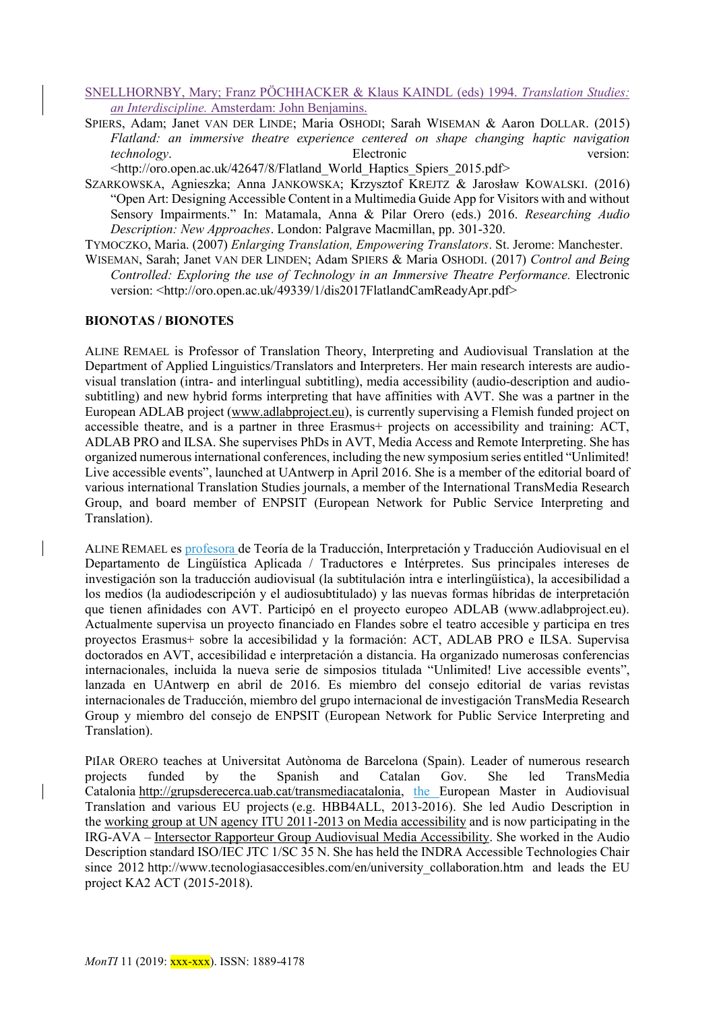## SNELLHORNBY, Mary; Franz PÖCHHACKER & Klaus KAINDL (eds) 1994. *Translation Studies: an Interdiscipline.* Amsterdam: John Benjamins.

SPIERS, Adam; Janet VAN DER LINDE; Maria OSHODI; Sarah WISEMAN & Aaron DOLLAR. (2015) *Flatland: an immersive theatre experience centered on shape changing haptic navigation technology*. Electronic version:

<http://oro.open.ac.uk/42647/8/Flatland\_World\_Haptics\_Spiers\_2015.pdf>

SZARKOWSKA, Agnieszka; Anna JANKOWSKA; Krzysztof KREJTZ & Jarosław KOWALSKI. (2016) "Open Art: Designing Accessible Content in a Multimedia Guide App for Visitors with and without Sensory Impairments." In: Matamala, Anna & Pilar Orero (eds.) 2016. *Researching Audio Description: New Approaches*. London: Palgrave Macmillan, pp. 301-320.

TYMOCZKO, Maria. (2007) *Enlarging Translation, Empowering Translators*. St. Jerome: Manchester.

WISEMAN, Sarah; Janet VAN DER LINDEN; Adam SPIERS & Maria OSHODI. (2017) *Control and Being Controlled: Exploring the use of Technology in an Immersive Theatre Performance.* Electronic version: <http://oro.open.ac.uk/49339/1/dis2017FlatlandCamReadyApr.pdf>

# **BIONOTAS / BIONOTES**

ALINE REMAEL is Professor of Translation Theory, Interpreting and Audiovisual Translation at the Department of Applied Linguistics/Translators and Interpreters. Her main research interests are audiovisual translation (intra- and interlingual subtitling), media accessibility (audio-description and audiosubtitling) and new hybrid forms interpreting that have affinities with AVT. She was a partner in the European ADLAB project [\(www.adlabproject.eu\)](http://www.adlabproject.eu/), is currently supervising a Flemish funded project on accessible theatre, and is a partner in three Erasmus+ projects on accessibility and training: ACT, ADLAB PRO and ILSA. She supervises PhDs in AVT, Media Access and Remote Interpreting. She has organized numerous international conferences, including the new symposium series entitled "Unlimited! Live accessible events", launched at UAntwerp in April 2016. She is a member of the editorial board of various international Translation Studies journals, a member of the International TransMedia Research Group, and board member of ENPSIT (European Network for Public Service Interpreting and Translation).

ALINE REMAEL es profesora de Teoría de la Traducción, Interpretación y Traducción Audiovisual en el Departamento de Lingüística Aplicada / Traductores e Intérpretes. Sus principales intereses de investigación son la traducción audiovisual (la subtitulación intra e interlingüística), la accesibilidad a los medios (la audiodescripción y el audiosubtitulado) y las nuevas formas híbridas de interpretación que tienen afinidades con AVT. Participó en el proyecto europeo ADLAB (www.adlabproject.eu). Actualmente supervisa un proyecto financiado en Flandes sobre el teatro accesible y participa en tres proyectos Erasmus+ sobre la accesibilidad y la formación: ACT, ADLAB PRO e ILSA. Supervisa doctorados en AVT, accesibilidad e interpretación a distancia. Ha organizado numerosas conferencias internacionales, incluida la nueva serie de simposios titulada "Unlimited! Live accessible events", lanzada en UAntwerp en abril de 2016. Es miembro del consejo editorial de varias revistas internacionales de Traducción, miembro del grupo internacional de investigación TransMedia Research Group y miembro del consejo de ENPSIT (European Network for Public Service Interpreting and Translation).

PIIAR ORERO teaches at Universitat Autònoma de Barcelona (Spain). Leader of numerous research projects funded by the Spanish and Catalan Gov. She led TransMedia Catalonia [http://grupsderecerca.uab.cat/transmediacatalonia,](http://grupsderecerca.uab.cat/transmediacatalonia) the European Master in Audiovisual Translation and various EU projects (e.g. HBB4ALL, 2013-2016). She led Audio Description in the [working group at UN agency ITU 2011-2013 on Media accessibility](http://www.itu.int/en/ITUT/focusgroups/ava/Pages/default.aspx) and is now participating in the IRG-AVA – [Intersector Rapporteur Group Audiovisual Media Accessibility.](http://www.itu.int/en/irg/ava/Pages/default.aspx) She worked in the Audio Description standard ISO/IEC JTC 1/SC 35 N. She has held the INDRA Accessible Technologies Chair since 2012 http://www.tecnologiasaccesibles.com/en/university collaboration.htm and leads the EU project KA2 ACT (2015-2018).